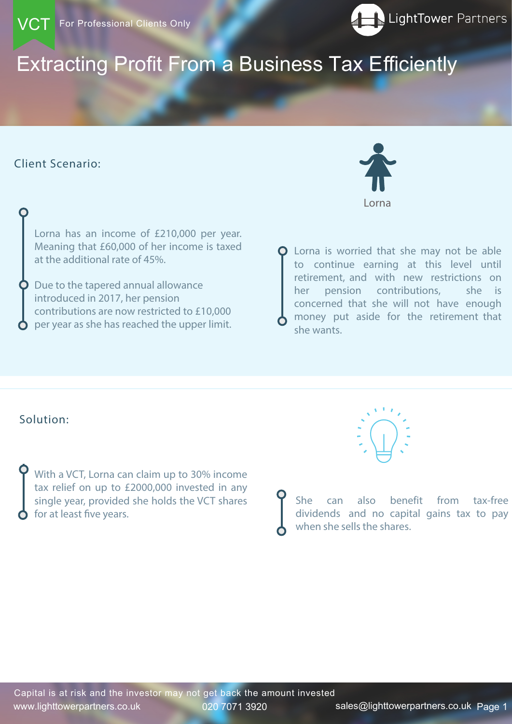# Extracting Profit From a Business Tax Efficiently

www.lighttowerpartners.co.uk 020 7071 3920 sales@lighttowerpartners.co.ukPage 1 Page 1 Capital is at risk and the investor may not get back the amount invested

## Client Scenario:





With a VCT, Lorna can claim up to 30% income tax relief on up to £2000,000 invested in any single year, provided she holds the VCT shares for at least five years.



**O** Lorna is worried that she may not be able to continue earning at this level until retirement, and with new restrictions on her pension contributions, she is concerned that she will not have enough money put aside for the retirement that she wants.

Lorna has an income of £210,000 per year. Meaning that £60,000 of her income is taxed at the additional rate of 45%.

Due to the tapered annual allowance introduced in 2017, her pension contributions are now restricted to £10,000 per year as she has reached the upper limit.

# Solution:



She can also benefit from tax-free dividends and no capital gains tax to pay when she sells the shares.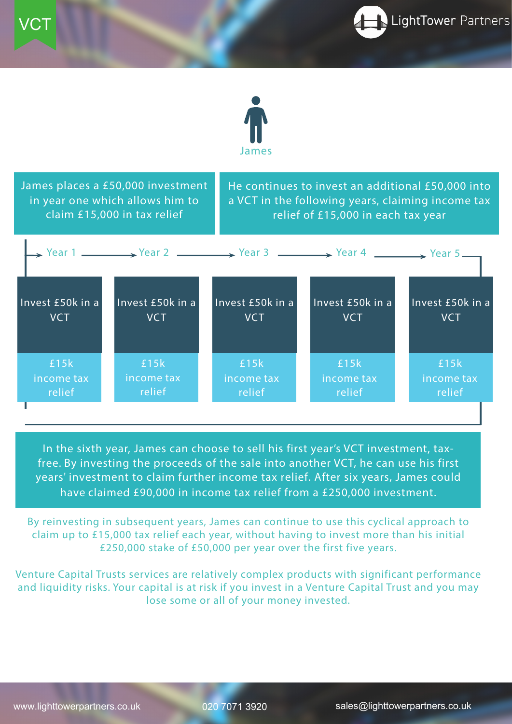Page 2

# www.lighttowerpartners.co.uk Page 2 020 7071 3920 sales@lighttowerpartners.co.uk

By reinvesting in subsequent years, James can continue to use this cyclical approach to claim up to £15,000 tax relief each year, without having to invest more than his initial

### £250,000 stake of £50,000 per year over the first five years.

Venture Capital Trusts services are relatively complex products with significant performance and liquidity risks. Your capital is at risk if you invest in a Venture Capital Trust and you may lose some or all of your money invested.

James places a £50,000 investment in year one which allows him to claim £15,000 in tax relief

|                  |                  | $\rightarrow$ Year 1 $\rightarrow$ Year 2 $\rightarrow$ Year 3 $\rightarrow$ Year 4 $\rightarrow$ Year 5 $\rightarrow$ |                  |                  |
|------------------|------------------|------------------------------------------------------------------------------------------------------------------------|------------------|------------------|
| Invest £50k in a | Invest £50k in a | Invest £50k in a                                                                                                       | Invest £50k in a | Invest £50k in a |
| <b>VCT</b>       | <b>VCT</b>       | <b>VCT</b>                                                                                                             | VCT              | <b>VCT</b>       |
| £15k             | £15k             | £15 $k$                                                                                                                | £15k             | £15 $k$          |
| income tax       | income tax       | income tax                                                                                                             | income tax       | income tax       |
| relief           | relief           | relief                                                                                                                 | relief           | relief           |

In the sixth year, James can choose to sell his first year's VCT investment, taxfree. By investing the proceeds of the sale into another VCT, he can use his first years' investment to claim further income tax relief. After six years, James could have claimed £90,000 in income tax relief from a £250,000 investment.

He continues to invest an additional £50,000 into a VCT in the following years, claiming income tax relief of £15,000 in each tax year